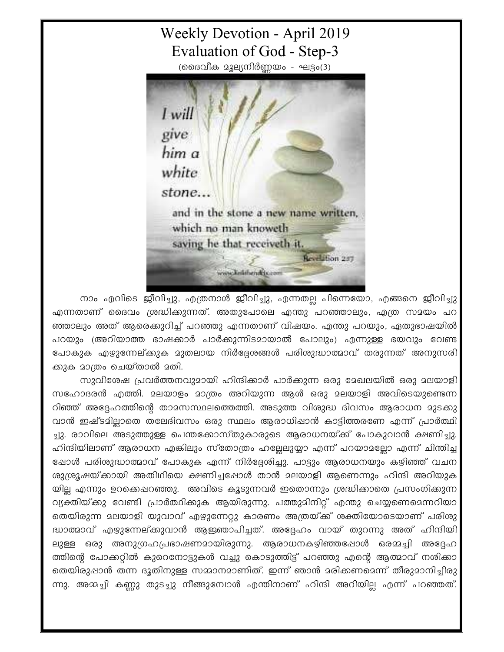## **Weekly Devotion - April 2019** Evaluation of God - Step-3

(ദൈവീക മൂല്യനിർണ്ണയം - ഘട്ടം(3)



നാം എവിടെ ജീവിച്ചു, എത്രനാൾ ജീവിച്ചു, എന്നതല്ല പിന്നെയോ, എങ്ങനെ ജീവിച്ചു എന്നതാണ് ദൈവം ശ്രദ്ധിക്കുന്നത്. അതുപോലെ എന്തു പറഞ്ഞാലും, എത്ര സമയം പറ ഞ്ഞാലും അത് ആരെക്കുറിച്ച് പറഞ്ഞു എന്നതാണ് വിഷയം. എന്തു പറയും, ഏതുഭാഷയിൽ പറയും (അറിയാത്ത ഭാഷക്കാർ പാർക്കുന്നിടമായാൽ പോലും) എന്നുള്ള ഭയവും വേണ്ട പോകുക എഴുന്നേല്കുക മുതലായ നിർദ്ദേശങ്ങൾ പരിശുദ്ധാത്മാവ് തരുന്നത് അനുസരി ക്കുക മാത്രം ചെയ്താൽ മതി.

സുവിശേഷ പ്രവർത്തനവുമായി ഹിന്ദിക്കാർ പാർക്കുന്ന ഒരു മേഖലയിൽ ഒരു മലയാളി സഹോദരൻ എത്തി. മലയാളം മാത്രം അറിയുന്ന ആൾ ഒരു മലയാളി അവിടെയുണ്ടെന്ന റിഞ്ഞ് അദ്ദേഹത്തിന്റെ താമസസ്ഥലത്തെത്തി. അടുത്ത വിശുദ്ധ ദിവസം ആരാധന മുടക്കു വാൻ ഇഷ്ടമില്ലാതെ തലേദിവസം ഒരു സ്ഥലം ആരാധിപ്പാൻ കാട്ടിത്തരണേ എന്ന് പ്രാർത്ഥി ച്ചു. രാവിലെ അടുത്തുള്ള പെന്തക്കോസ്തുകാരുടെ ആരാധനയ്ക്ക് പോകുവാൻ ക്ഷണിച്ചു. ഹിന്ദിയിലാണ് ആരാധന എങ്കിലും സ്തോത്രം ഹല്ലേലുയ്യാ എന്ന് പറയാമല്ലോ എന്ന് ചിന്തിച്ച ഷോൾ പരിശുദ്ധാത്മാവ് പോകുക എന്ന് നിർദ്ദേശിച്ചു. പാട്ടും ആരാധനയും കഴിഞ്ഞ് വചന ശുശ്രൂഷയ്ക്കായി അതിഥിയെ ക്ഷണിച്ചപ്പോൾ താൻ മലയാളി ആണെന്നും ഹിന്ദി അറിയുക യില്ല എന്നും ഉറക്കെഷറഞ്ഞു. അവിടെ കൂടുന്നവർ ഇതൊന്നും ശ്രദ്ധിക്കാതെ പ്രസംഗിക്കുന്ന വ്യക്തിയ്ക്കു വേണ്ടി പ്രാർത്ഥിക്കുക ആയിരുന്നു. പത്തുമിനിറ്റ് എന്തു ചെയ്യണെമെന്നറിയാ തെയിരുന്ന മലയാളി യുവാവ് എഴുന്നേറ്റു കാരണം അത്രയ്ക്ക് ശക്തിയോടെയാണ് പരിശു ദ്ധാത്മാവ് എഴുന്നേല്ക്കുവാൻ ആഇഞാപിച്ചത്. അദ്ദേഹം വായ് തുറന്നു അത് ഹിന്ദിയി ലുള്ള ഒരു അനുഗ്രഹപ്രഭാഷണമായിരുന്നു. ആരാധനകഴിഞ്ഞപ്പോൾ ഒരമ്മച്ചി അദ്ദേഹ ത്തിന്റെ പോക്കറ്റിൽ കുറെനോട്ടുകൾ വച്ചു കൊടുത്തിട്ട് പറഞ്ഞു എന്റെ ആത്മാവ് നശിക്കാ തെയിരുഷാൻ തന്ന ദൂതിനുള്ള സമ്മാനമാണിത്. ഇന്ന് ഞാൻ മരിക്കണമെന്ന് തീരുമാനിച്ചിരു ന്നു. അമ്മച്ചി കണ്ണു തുടച്ചു നീങ്ങുമ്പോൾ എന്തിനാണ് ഹിന്ദി അറിയില്ല എന്ന് പറഞ്ഞത്.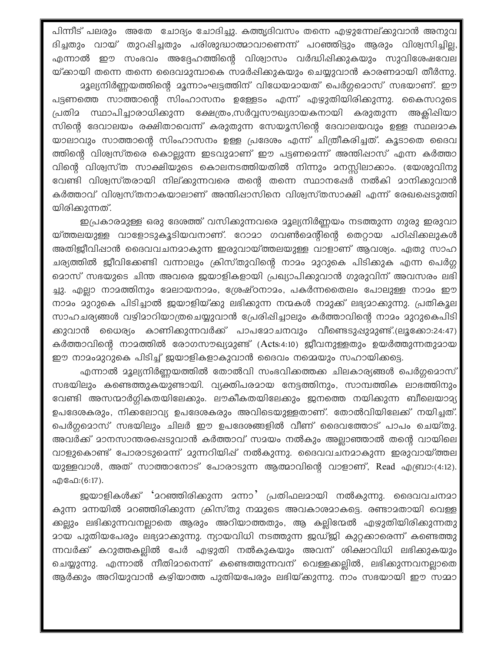പിന്നീട് പലരും അതേ ചോദ്യം ചോദിച്ചു. കത്തൃദിവസം തന്നെ എഴുന്നേല്ക്കുവാൻ അനുവ ദിച്ചതും വായ് തുറപ്പിച്ചതും പരിശുദ്ധാത്മാവാണെന്ന് പറഞ്ഞിട്ടും ആരും വിശ്വസിച്ചില്ല, എന്നാൽ ഈ സംഭവം അദ്ദേഹത്തിന്റെ വിശ്വാസം വർദ്ധിഷിക്കുകയും സുവിശേഷവേല യ്ക്കായി തന്നെ തന്നെ ദൈവമുമ്പാകെ സമർഷിക്കുകയും ചെയ്യുവാൻ കാരണമായി തീർന്നു.

മൂല്യനിർണ്ണയത്തിന്റെ മൂന്നാംഘട്ടത്തിന് വിധേയമായത് പെർഗ്ഗമൊസ് സഭയാണ്. ഈ പട്ടണത്തെ സാത്താന്റെ സിംഹാസനം ഉള്ളേടം എന്ന് എഴുതിയിരിക്കുന്നു. കൈസറുടെ പ്രതിമ സ്ഥാപിച്ചാരാധിക്കുന്ന ക്ഷേത്രം,സർവ്വസൗഖ്യദായകനായി കരുതുന്ന അക്ലിഷിയാ സിന്റെ ദേവാലയം രക്ഷിതാവെന്ന് കരുതുന്ന സേയൂസിന്റെ ദേവാലയവും ഉള്ള സ്ഥലമാക യാലാവും സാത്താന്റെ സിംഹാസനം ഉള്ള പ്രദേശം എന്ന് ചിത്രീകരിച്ചത്. കൂടാതെ ദൈവ ത്തിന്റെ വിശ്വസ്തരെ കൊല്ലുന്ന ഇടവുമാണ് ഈ പട്ടണമെന്ന് അന്തിഷാസ് എന്ന കർത്താ വിന്റെ വിശ്വസ്ത സാക്ഷിയുടെ കൊലനടത്തിയതിൽ നിന്നും മനസ്സിലാക്കാം. (യേശുവിനു വേണ്ടി വിശ്വസ്തരായി നില്കുന്നവരെ തന്റെ തന്നെ സ്ഥാനഷേർ നൽകി മാനിക്കുവാൻ കർത്താവ് വിശ്വസ്തനാകയാലാണ് അന്തിഷാസിനെ വിശ്വസ്തസാക്ഷി എന്ന് രേഖപ്പെടുത്തി യിരിക്കുന്നത്.

ഇപ്രകാരമുള്ള ഒരു ദേശത്ത് വസിക്കുന്നവരെ മൂല്യനിർണ്ണയം നടത്തുന്ന ഗുരു ഇരുവാ യ്ത്തലയുള്ള വാളോടുകൂടിയവനാണ്. റോമാ ഗവൺമെന്റിന്റെ തെറ്റായ പഠിപ്പിക്കലുകൾ അതിജീവിഷാൻ ദൈവവചനമാകുന്ന ഇരുവായ്ത്തലയുള്ള വാളാണ് ആവശ്യം. ഏതു സാഹ ചര്യത്തിൽ ജീവിക്കേണ്ടി വന്നാലും ക്രിസ്തുവിന്റെ നാമം മുറുകെ പിടിക്കുക എന്ന പെർഗ്ഗ മൊസ് സഭയുടെ ചിന്ത അവരെ ജയാളികളായി പ്രഖ്യാപിക്കുവാൻ ഗുരുവിന് അവസരം ലഭി ച്ചു. എല്ലാ നാമത്തിനും മേലായനാമം, ശ്രേഷ്ഠനാമം, പകർന്നതൈലം പോലുള്ള നാമം ഈ നാമം മുറുകെ പിടിച്ചാൽ ഇയാളിയ്ക്കു ലഭിക്കുന്ന നന്മകൾ നമുക്ക് ലഭ്യമാക്കുന്നു. പ്രതികൂല സാഹചര്യങ്ങൾ വഴിമാറിയാത്രചെയ്യുവാൻ പ്രേരിഷിച്ചാലും കർത്താവിന്റെ നാമം മുറുകെപിടി ക്കുവാൻ ധൈര്യം കാണിക്കുന്നവർക്ക് പാപമോചനവും വീണ്ടെടുപ്പുമുണ്ട്.(ലൂക്കോ:24:47) കർത്താവിന്റെ നാമത്തിൽ രോഗസൗഖ്യമുണ്ട് (Acts:4:10) ജീവനുള്ളതും ഉയർത്തുന്നതുമായ ഈ നാമംമുറുകെ പിടിച്ച് ജയാളികളാകുവാൻ ദൈവം നമ്മെയും സഹായിക്കട്ടെ.

എന്നാൽ മൂല്യനിർണ്ണയത്തിൽ തോൽവി സംഭവിക്കത്തക്ക ചിലകാര്യങ്ങൾ പെർഗ്ഗമൊസ് സഭയിലും കണ്ടെത്തുകയുണ്ടായി. വ്യക്തിപരമായ നേട്ടത്തിനും, സാമ്പത്തിക ലാഭത്തിനും വേണ്ടി അസന്മാർഗ്ഗികതയിലേക്കും. ലൗകീകതയിലേക്കും ജനത്തെ നയിക്കുന്ന ബീലെയാമ്യ ഉപദേശകരും, നിക്കലോവ്യ ഉപദേശകരും അവിടെയുള്ളതാണ്. തോൽവിയിലേക്ക് നയിച്ചത്. പെർഗ്ഗമൊസ് സഭയിലും ചിലർ ഈ ഉപദേശങ്ങളിൽ വീണ് ദൈവത്തോട് പാപം ചെയ്തു. അവർക്ക് മാനസാന്തരപ്പെടുവാൻ കർത്താവ് സമയം നൽകും അല്ലാഞ്ഞാൽ തന്റെ വായിലെ വാളുകൊണ്ട് പോരാടുമെന്ന് മുന്നറിയിഷ് നൽകുന്നു. ദൈവവചനമാകുന്ന ഇരുവായ്ത്തല യുള്ളവാൾ, അത് സാത്താനോട് പോരാടുന്ന ആത്മാവിന്റെ വാളാണ്, Read എബ്രാ:(4:12). എഫേ:(6:17).

ജയാളികൾക്ക് 'മറഞ്ഞിരിക്കുന്ന മന്നാ' പ്രതിഫലമായി നൽകുന്നു. ദൈവവചനമാ കുന്ന മന്നയിൽ മറഞ്ഞിരിക്കുന്ന ക്രിസ്തു നമ്മുടെ അവകാശമാകട്ടെ. രണ്ടാമതായി വെള്ള ക്കല്ലും ലഭിക്കുന്നവനല്ലാതെ ആരും അറിയാത്തതും, ആ കല്ലിന്മേൽ എഴുതിയിരിക്കുന്നതു <u>ായ പുതിയപേരും ലഭ്യ</u>ാാക്കുന്നു. ന്യായവിധി നടത്തുന്ന ജഡ്ജി കുറ്റക്കാരെന്ന് കണ്ടെത്തു ന്നവർക്ക് കറുത്തകല്ലിൽ പേർ എഴുതി നൽകുകയും അവന് ശിക്ഷാവിധി ലഭിക്കുകയും ചെയ്യുന്നു. എന്നാൽ നീതിമാനെന്ന് കണ്ടെത്തുന്നവന് വെള്ളക്കല്ലിൽ, ലഭിക്കുന്നവനല്ലാതെ ആർക്കും അറിയുവാൻ കഴിയാത്ത പുതിയപേരും ലഭിയ്ക്കുന്നു. നാം സഭയായി ഈ സമ്മാ